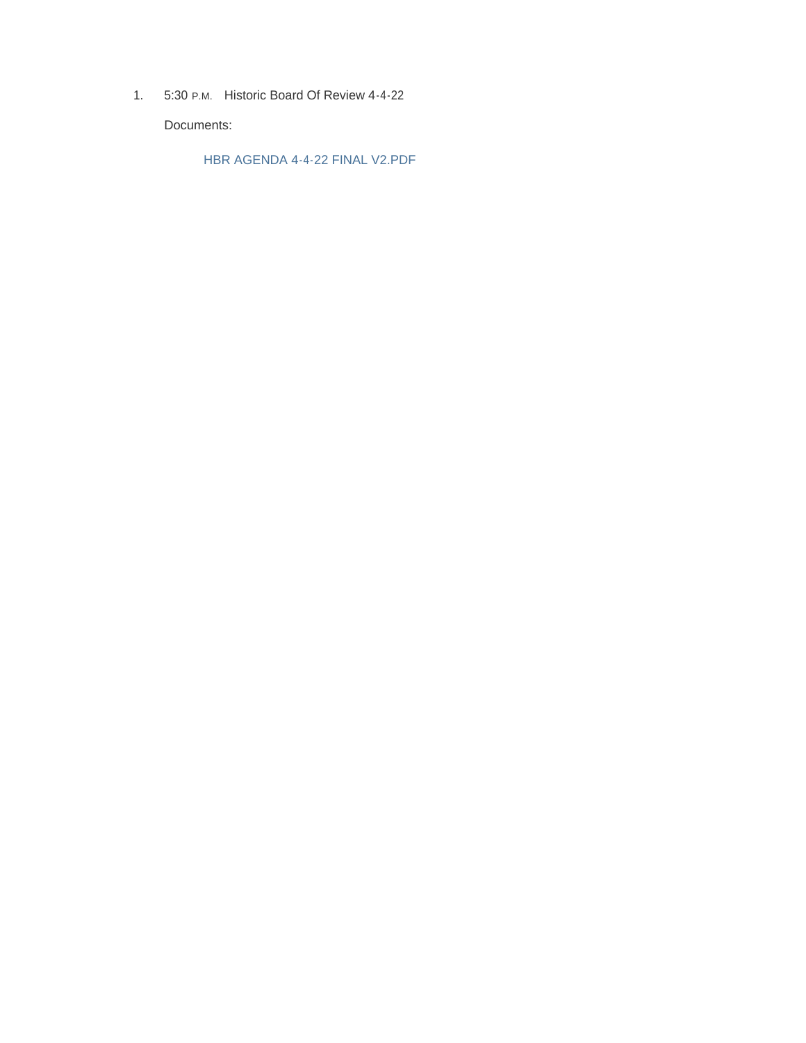1. 5:30 P.M. Historic Board Of Review 4-4-22

Documents:

HBR AGENDA 4-4-22 FINAL V2.PDF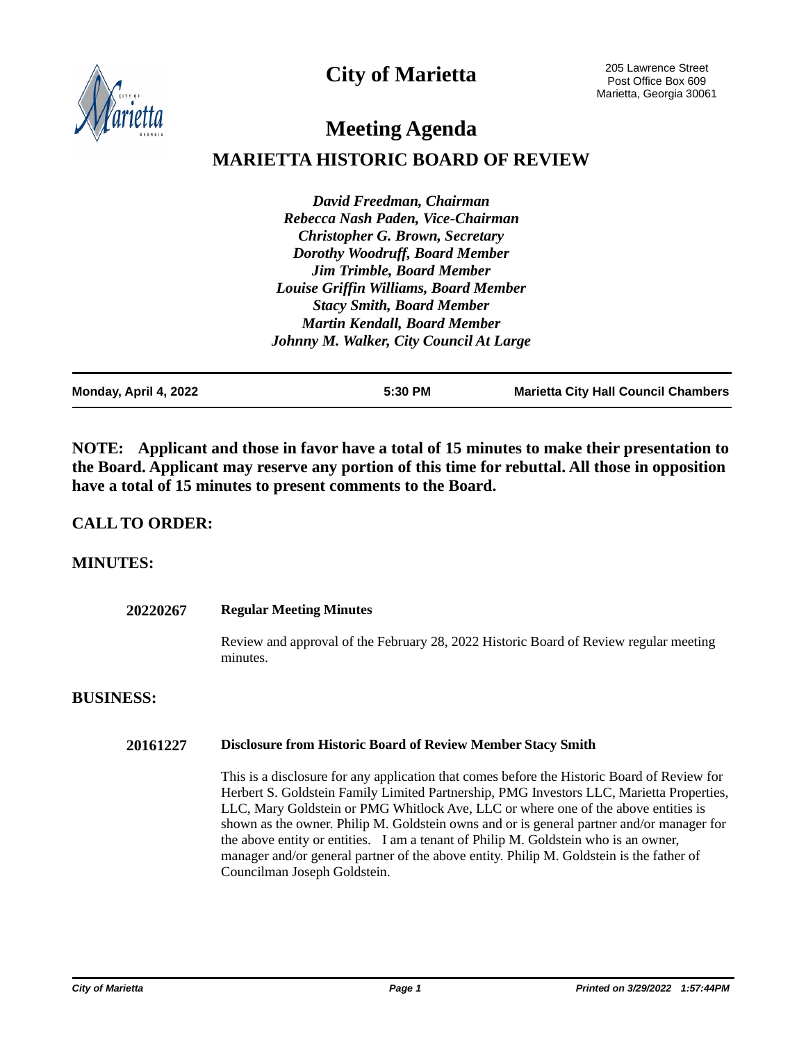**City of Marietta**



205 Lawrence Street Post Office Box 609 Marietta, Georgia 30061

# **Meeting Agenda**

## **MARIETTA HISTORIC BOARD OF REVIEW**

*David Freedman, Chairman Rebecca Nash Paden, Vice-Chairman Christopher G. Brown, Secretary Dorothy Woodruff, Board Member Jim Trimble, Board Member Louise Griffin Williams, Board Member Stacy Smith, Board Member Martin Kendall, Board Member Johnny M. Walker, City Council At Large*

| Monday, April 4, 2022 | 5:30 PM | <b>Marietta City Hall Council Chambers</b> |
|-----------------------|---------|--------------------------------------------|

**NOTE: Applicant and those in favor have a total of 15 minutes to make their presentation to the Board. Applicant may reserve any portion of this time for rebuttal. All those in opposition have a total of 15 minutes to present comments to the Board.**

## **CALL TO ORDER:**

## **MINUTES:**

| 20220267         | <b>Regular Meeting Minutes</b>                                                                    |  |  |
|------------------|---------------------------------------------------------------------------------------------------|--|--|
|                  | Review and approval of the February 28, 2022 Historic Board of Review regular meeting<br>minutes. |  |  |
| <b>BUSINESS:</b> |                                                                                                   |  |  |

#### **20161227 Disclosure from Historic Board of Review Member Stacy Smith**

This is a disclosure for any application that comes before the Historic Board of Review for Herbert S. Goldstein Family Limited Partnership, PMG Investors LLC, Marietta Properties, LLC, Mary Goldstein or PMG Whitlock Ave, LLC or where one of the above entities is shown as the owner. Philip M. Goldstein owns and or is general partner and/or manager for the above entity or entities. I am a tenant of Philip M. Goldstein who is an owner, manager and/or general partner of the above entity. Philip M. Goldstein is the father of Councilman Joseph Goldstein.